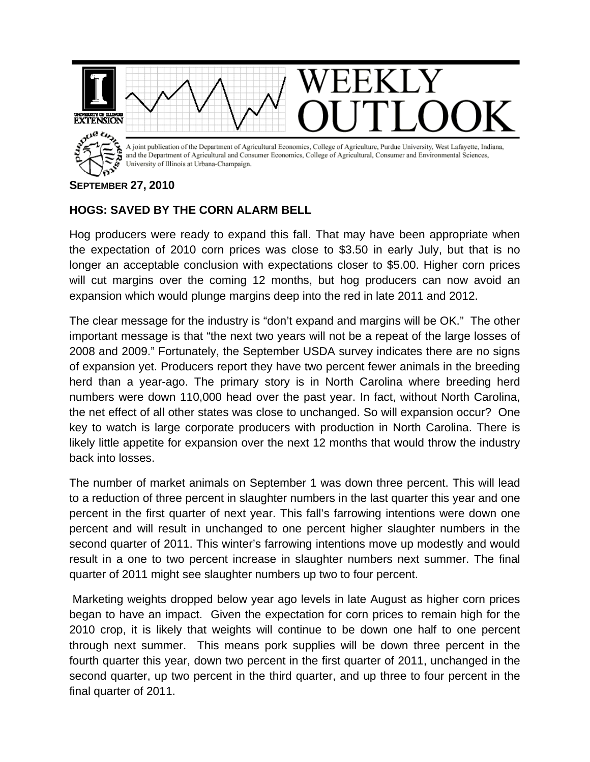

## **SEPTEMBER 27, 2010**

## **HOGS: SAVED BY THE CORN ALARM BELL**

Hog producers were ready to expand this fall. That may have been appropriate when the expectation of 2010 corn prices was close to \$3.50 in early July, but that is no longer an acceptable conclusion with expectations closer to \$5.00. Higher corn prices will cut margins over the coming 12 months, but hog producers can now avoid an expansion which would plunge margins deep into the red in late 2011 and 2012.

The clear message for the industry is "don't expand and margins will be OK." The other important message is that "the next two years will not be a repeat of the large losses of 2008 and 2009." Fortunately, the September USDA survey indicates there are no signs of expansion yet. Producers report they have two percent fewer animals in the breeding herd than a year-ago. The primary story is in North Carolina where breeding herd numbers were down 110,000 head over the past year. In fact, without North Carolina, the net effect of all other states was close to unchanged. So will expansion occur? One key to watch is large corporate producers with production in North Carolina. There is likely little appetite for expansion over the next 12 months that would throw the industry back into losses.

The number of market animals on September 1 was down three percent. This will lead to a reduction of three percent in slaughter numbers in the last quarter this year and one percent in the first quarter of next year. This fall's farrowing intentions were down one percent and will result in unchanged to one percent higher slaughter numbers in the second quarter of 2011. This winter's farrowing intentions move up modestly and would result in a one to two percent increase in slaughter numbers next summer. The final quarter of 2011 might see slaughter numbers up two to four percent.

 Marketing weights dropped below year ago levels in late August as higher corn prices began to have an impact. Given the expectation for corn prices to remain high for the 2010 crop, it is likely that weights will continue to be down one half to one percent through next summer. This means pork supplies will be down three percent in the fourth quarter this year, down two percent in the first quarter of 2011, unchanged in the second quarter, up two percent in the third quarter, and up three to four percent in the final quarter of 2011.